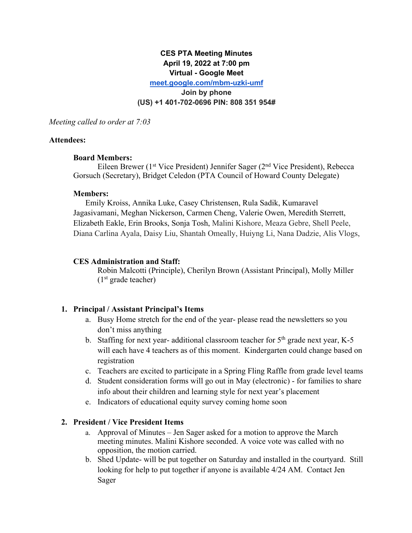# **CES PTA Meeting Minutes April 19, 2022 at 7:00 pm Virtual - Google Meet**

**meet.google.com/mbm-uzki-umf**

**Join by phone**

#### **(US) +1 401-702-0696 PIN: 808 351 954#**

*Meeting called to order at 7:03*

#### **Attendees:**

#### **Board Members:**

Eileen Brewer (1st Vice President) Jennifer Sager (2nd Vice President), Rebecca Gorsuch (Secretary), Bridget Celedon (PTA Council of Howard County Delegate)

#### **Members:**

Emily Kroiss, Annika Luke, Casey Christensen, Rula Sadik, Kumaravel Jagasivamani, Meghan Nickerson, Carmen Cheng, Valerie Owen, Meredith Sterrett, Elizabeth Eakle, Erin Brooks, Sonja Tosh, Malini Kishore, Meaza Gebre, Shell Peele, Diana Carlina Ayala, Daisy Liu, Shantah Omeally, Huiyng Li, Nana Dadzie, Alis Vlogs,

#### **CES Administration and Staff:**

Robin Malcotti (Principle), Cherilyn Brown (Assistant Principal), Molly Miller  $(1<sup>st</sup> \text{ grade teacher})$ 

# **1. Principal / Assistant Principal's Items**

- a. Busy Home stretch for the end of the year- please read the newsletters so you don't miss anything
- b. Staffing for next year- additional classroom teacher for  $5<sup>th</sup>$  grade next year, K-5 will each have 4 teachers as of this moment. Kindergarten could change based on registration
- c. Teachers are excited to participate in a Spring Fling Raffle from grade level teams
- d. Student consideration forms will go out in May (electronic) for families to share info about their children and learning style for next year's placement
- e. Indicators of educational equity survey coming home soon

# **2. President / Vice President Items**

- a. Approval of Minutes Jen Sager asked for a motion to approve the March meeting minutes. Malini Kishore seconded. A voice vote was called with no opposition, the motion carried.
- b. Shed Update- will be put together on Saturday and installed in the courtyard. Still looking for help to put together if anyone is available 4/24 AM. Contact Jen Sager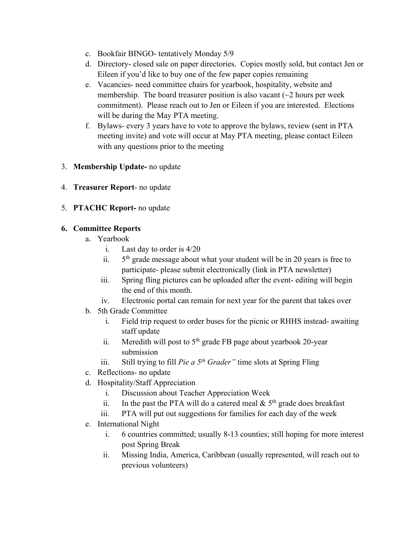- c. Bookfair BINGO- tentatively Monday 5/9
- d. Directory- closed sale on paper directories. Copies mostly sold, but contact Jen or Eileen if you'd like to buy one of the few paper copies remaining
- e. Vacancies- need committee chairs for yearbook, hospitality, website and membership. The board treasurer position is also vacant  $\sim$  2 hours per week commitment). Please reach out to Jen or Eileen if you are interested. Elections will be during the May PTA meeting.
- f. Bylaws- every 3 years have to vote to approve the bylaws, review (sent in PTA meeting invite) and vote will occur at May PTA meeting, please contact Eileen with any questions prior to the meeting
- 3. **Membership Update-** no update
- 4. **Treasurer Report** no update
- 5. **PTACHC Report-** no update

# **6. Committee Reports**

- a. Yearbook
	- i. Last day to order is 4/20
	- ii.  $5<sup>th</sup>$  grade message about what your student will be in 20 years is free to participate- please submit electronically (link in PTA newsletter)
	- iii. Spring fling pictures can be uploaded after the event- editing will begin the end of this month.
	- iv. Electronic portal can remain for next year for the parent that takes over
- b. 5th Grade Committee
	- i. Field trip request to order buses for the picnic or RHHS instead- awaiting staff update
	- ii. Meredith will post to  $5<sup>th</sup>$  grade FB page about yearbook 20-year submission
	- iii. Still trying to fill *Pie a 5th Grader"* time slots at Spring Fling
- c. Reflections- no update
- d. Hospitality/Staff Appreciation
	- i. Discussion about Teacher Appreciation Week
	- ii. In the past the PTA will do a catered meal  $& 5<sup>th</sup>$  grade does breakfast
	- iii. PTA will put out suggestions for families for each day of the week
- e. International Night
	- i. 6 countries committed; usually 8-13 counties; still hoping for more interest post Spring Break
	- ii. Missing India, America, Caribbean (usually represented, will reach out to previous volunteers)